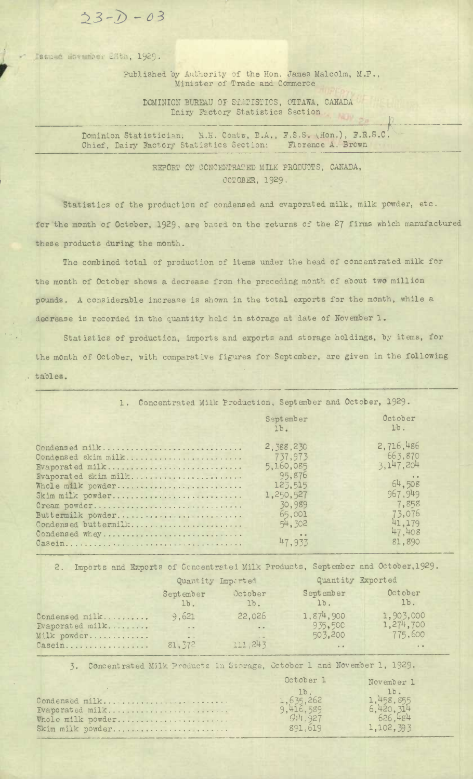$23 - D - 03$ 

Issued Movember 28th, 1929.

Published by Authority of the Hon. James Malcolm, M.P., Minister of Trade and Commerce

DOMINION BUREAU OF STATISTICS, OTTAWA, CANADA Dairy Factory Statistics Section

Dominion Statistician: K.H. Coats, B.A., F.S.S. (Hon.), F.R.S.C. Chief, Dairy Factory Statistics Section: Florence A. Brown

> REPORT ON CONCENTRATED MILK PRODUCTS, CANADA, OCTOBER, 1929.

Statistics of the production of condensed and evaporated milk, milk powder, etc. for the month of October, 1929, are based on the returns of the 27 firms which manufactured these products during the month.

The combined total of production of items under the head of concentrated milk for the month of October shows a decrease from the preceding month of about two million pounds. A considerable increase is shown in the total exports for the month, while a decrease is recorded in the quantity held in storage at date of November 1.

Statistics of production, imports and exports and storage holdings, by items, for the month of October, with comparative figures for September, are given in the following tables.

| 1. Concentrated Milk Production, September and October, 1929.                                                                                                                                            |                                                                                                                           |                                                                                                           |  |  |  |
|----------------------------------------------------------------------------------------------------------------------------------------------------------------------------------------------------------|---------------------------------------------------------------------------------------------------------------------------|-----------------------------------------------------------------------------------------------------------|--|--|--|
|                                                                                                                                                                                                          | September<br>1 <sub>b</sub>                                                                                               | October<br>$1b$ .                                                                                         |  |  |  |
| Condensed milk<br>Condensed skim milk<br>Evaporated milk<br>Fvaporated skim milk<br>Whole milk powder<br>Skim milk powder<br>Cream powder<br>Buttermilk powder<br>Condensed buttermilk<br>Condensed whey | 2, 388, 230<br>737,973<br>5, 1.60, 085<br>95,876<br>123,515<br>1,250,527<br>30,989<br>65,001<br>54, 302<br>$-1$<br>47.933 | 2,716,486<br>663,870<br>3, 147, 204<br>64,508<br>967.949<br>7,858<br>73,076<br>41,179<br>47,408<br>81,890 |  |  |  |

2. Imports and Exports of Concentrated Milk Products, September and October, 1929.

|                                      | Quantity Imperted             |                                       | Quantity Exported               |                                   |
|--------------------------------------|-------------------------------|---------------------------------------|---------------------------------|-----------------------------------|
|                                      | September<br>$1b$ .           | October<br>$1b$ .                     | September<br>$1b$ .             | October<br>lb.                    |
| Condensed milk<br>Evaporated $m$ ilk | 9,621<br>$\sim$ $\sim$ $\sim$ | 22,026<br>$\rightarrow$ $\rightarrow$ | 1,874,900<br>935,50C<br>503,200 | 1,903,000<br>1,274,700<br>775,600 |
| Milk powder<br>Casein                | $\bullet \bullet$<br>81, 572  | 111, 243                              | $\rightarrow -$                 | $\alpha=0$ .                      |

3. Concentrated Milk Products in Storage, October 1 and November 1, 1929.

|                   | October 1 | November 1               |
|-------------------|-----------|--------------------------|
|                   | 7b        | 1 <sub>b</sub>           |
| Condensed milk    | 1,635,262 | 1,458,855                |
| Evaporated milk   | 9,416,589 | $6,420,314$<br>$626,484$ |
| Whole milk powder | 544.927   |                          |
| Skim milk powder  | 891,619   | 1,102,393                |